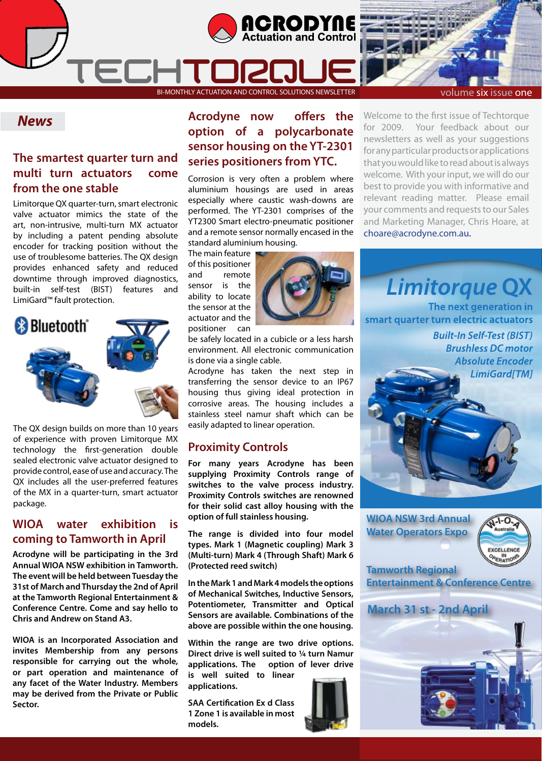



#### *News*

#### **The smartest quarter turn and multi turn actuators come from the one stable**

ECHT

Limitorque QX quarter-turn, smart electronic valve actuator mimics the state of the art, non-intrusive, multi-turn MX actuator by including a patent pending absolute encoder for tracking position without the use of troublesome batteries. The QX design provides enhanced safety and reduced downtime through improved diagnostics, built-in self-test (BIST) features and LimiGard™ fault protection.



The QX design builds on more than 10 years of experience with proven Limitorque MX technology the first-generation double sealed electronic valve actuator designed to provide control, ease of use and accuracy. The QX includes all the user-preferred features of the MX in a quarter-turn, smart actuator package.

#### **WIOA water exhibition is coming to Tamworth in April**

**Acrodyne will be participating in the 3rd Annual WIOA NSW exhibition in Tamworth. The event will be held between Tuesday the 31st of March and Thursday the 2nd of April at the Tamworth Regional Entertainment & Conference Centre. Come and say hello to Chris and Andrew on Stand A3.**

**WIOA is an Incorporated Association and invites Membership from any persons responsible for carrying out the whole, or part operation and maintenance of any facet of the Water Industry. Members may be derived from the Private or Public Sector.**

#### **Acrodyne now offers the option of a polycarbonate sensor housing on the YT-2301 series positioners from YTC.**

Corrosion is very often a problem where aluminium housings are used in areas especially where caustic wash-downs are performed. The YT-2301 comprises of the YT2300 Smart electro-pneumatic positioner and a remote sensor normally encased in the standard aluminium housing.

The main feature of this positioner and remote sensor is the ability to locate the sensor at the actuator and the positioner can



be safely located in a cubicle or a less harsh environment. All electronic communication is done via a single cable.

Acrodyne has taken the next step in transferring the sensor device to an IP67 housing thus giving ideal protection in corrosive areas. The housing includes a stainless steel namur shaft which can be easily adapted to linear operation.

#### **Proximity Controls**

**For many years Acrodyne has been supplying Proximity Controls range of switches to the valve process industry. Proximity Controls switches are renowned for their solid cast alloy housing with the option of full stainless housing.**

**The range is divided into four model types. Mark 1 (Magnetic coupling) Mark 3 (Multi-turn) Mark 4 (Through Shaft) Mark 6 (Protected reed switch)** 

**In the Mark 1 and Mark 4 models the options of Mechanical Switches, Inductive Sensors, Potentiometer, Transmitter and Optical Sensors are available. Combinations of the above are possible within the one housing.**

**Within the range are two drive options. Direct drive is well suited to ¼ turn Namur applications. The option of lever drive** 

**is well suited to linear applications.**

**SAA Certification Ex d Class 1 Zone 1 is available in most models.**

Welcome to the first issue of Techtorque for 2009. Your feedback about our newsletters as well as your suggestions for any particular products or applications that you would like to read about is always welcome. With your input, we will do our best to provide you with informative and relevant reading matter. Please email your comments and requests to our Sales and Marketing Manager, Chris Hoare, at choare@acrodyne.com.au.

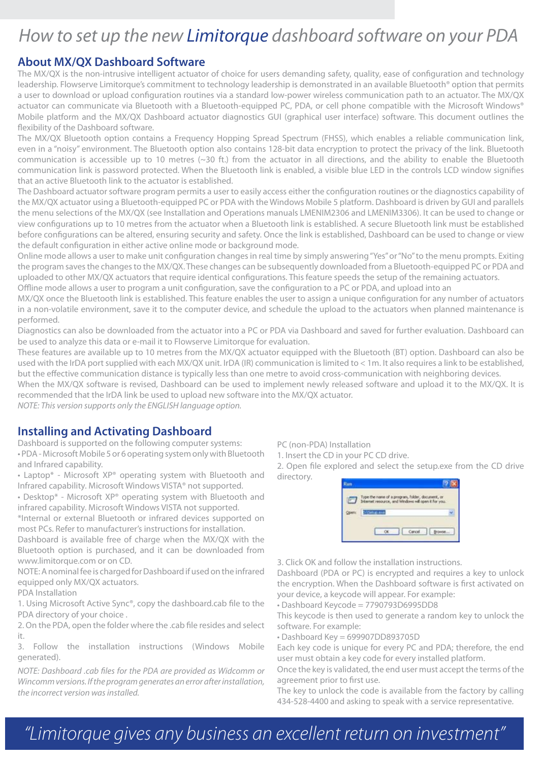### *How to set up the new Limitorque dashboard software on your PDA*

#### **About MX/QX Dashboard Software**

The MX/QX is the non-intrusive intelligent actuator of choice for users demanding safety, quality, ease of configuration and technology leadership. Flowserve Limitorque's commitment to technology leadership is demonstrated in an available Bluetooth® option that permits a user to download or upload configuration routines via a standard low-power wireless communication path to an actuator. The MX/QX actuator can communicate via Bluetooth with a Bluetooth-equipped PC, PDA, or cell phone compatible with the Microsoft Windows® Mobile platform and the MX/QX Dashboard actuator diagnostics GUI (graphical user interface) software. This document outlines the flexibility of the Dashboard software.

The MX/QX Bluetooth option contains a Frequency Hopping Spread Spectrum (FHSS), which enables a reliable communication link, even in a "noisy" environment. The Bluetooth option also contains 128-bit data encryption to protect the privacy of the link. Bluetooth communication is accessible up to 10 metres (~30 ft.) from the actuator in all directions, and the ability to enable the Bluetooth communication link is password protected. When the Bluetooth link is enabled, a visible blue LED in the controls LCD window signifies that an active Bluetooth link to the actuator is established.

The Dashboard actuator software program permits a user to easily access either the configuration routines or the diagnostics capability of the MX/QX actuator using a Bluetooth-equipped PC or PDA with the Windows Mobile 5 platform. Dashboard is driven by GUI and parallels the menu selections of the MX/QX (see Installation and Operations manuals LMENIM2306 and LMENIM3306). It can be used to change or view configurations up to 10 metres from the actuator when a Bluetooth link is established. A secure Bluetooth link must be established before configurations can be altered, ensuring security and safety. Once the link is established, Dashboard can be used to change or view the default configuration in either active online mode or background mode.

Online mode allows a user to make unit configuration changes in real time by simply answering "Yes" or "No" to the menu prompts. Exiting the program saves the changes to the MX/QX. These changes can be subsequently downloaded from a Bluetooth-equipped PC or PDA and uploaded to other MX/QX actuators that require identical configurations. This feature speeds the setup of the remaining actuators.

Offline mode allows a user to program a unit configuration, save the configuration to a PC or PDA, and upload into an

MX/QX once the Bluetooth link is established. This feature enables the user to assign a unique configuration for any number of actuators in a non-volatile environment, save it to the computer device, and schedule the upload to the actuators when planned maintenance is performed.

Diagnostics can also be downloaded from the actuator into a PC or PDA via Dashboard and saved for further evaluation. Dashboard can be used to analyze this data or e-mail it to Flowserve Limitorque for evaluation.

These features are available up to 10 metres from the MX/QX actuator equipped with the Bluetooth (BT) option. Dashboard can also be used with the IrDA port supplied with each MX/QX unit. IrDA (IR) communication is limited to < 1m. It also requires a link to be established, but the effective communication distance is typically less than one metre to avoid cross-communication with neighboring devices.

When the MX/QX software is revised, Dashboard can be used to implement newly released software and upload it to the MX/QX. It is recommended that the IrDA link be used to upload new software into the MX/QX actuator.

*NOTE: This version supports only the ENGLISH language option.*

#### **Installing and Activating Dashboard**

Dashboard is supported on the following computer systems: • PDA - Microsoft Mobile 5 or 6 operating system only with Bluetooth and Infrared capability.

- Laptop\* Microsoft XP® operating system with Bluetooth and Infrared capability. Microsoft Windows VISTA® not supported.
- Desktop\* Microsoft XP® operating system with Bluetooth and infrared capability. Microsoft Windows VISTA not supported.

\*Internal or external Bluetooth or infrared devices supported on most PCs. Refer to manufacturer's instructions for installation.

Dashboard is available free of charge when the MX/QX with the Bluetooth option is purchased, and it can be downloaded from www.limitorque.com or on CD.

NOTE: A nominal fee is charged for Dashboard if used on the infrared equipped only MX/QX actuators.

PDA Installation

1. Using Microsoft Active Sync®, copy the dashboard.cab file to the PDA directory of your choice .

2. On the PDA, open the folder where the .cab file resides and select it.

3. Follow the installation instructions (Windows Mobile generated).

*NOTE: Dashboard .cab files for the PDA are provided as Widcomm or Wincomm versions. If the program generates an error after installation, the incorrect version was installed.*

PC (non-PDA) Installation

1. Insert the CD in your PC CD drive.

2. Open file explored and select the setup.exe from the CD drive directory.

| Type the name of a program, folder, document, or<br>Internet resource, and Windows will open it for you. |  |
|----------------------------------------------------------------------------------------------------------|--|
| allege dents                                                                                             |  |
|                                                                                                          |  |

3. Click OK and follow the installation instructions.

Dashboard (PDA or PC) is encrypted and requires a key to unlock the encryption. When the Dashboard software is first activated on your device, a keycode will appear. For example:

• Dashboard Keycode = 7790793D6995DD8

This keycode is then used to generate a random key to unlock the software. For example:

• Dashboard Key = 699907DD893705D

Each key code is unique for every PC and PDA; therefore, the end user must obtain a key code for every installed platform.

Once the key is validated, the end user must accept the terms of the agreement prior to first use.

The key to unlock the code is available from the factory by calling 434-528-4400 and asking to speak with a service representative.

## *"Limitorque gives any business an excellent return on investment"*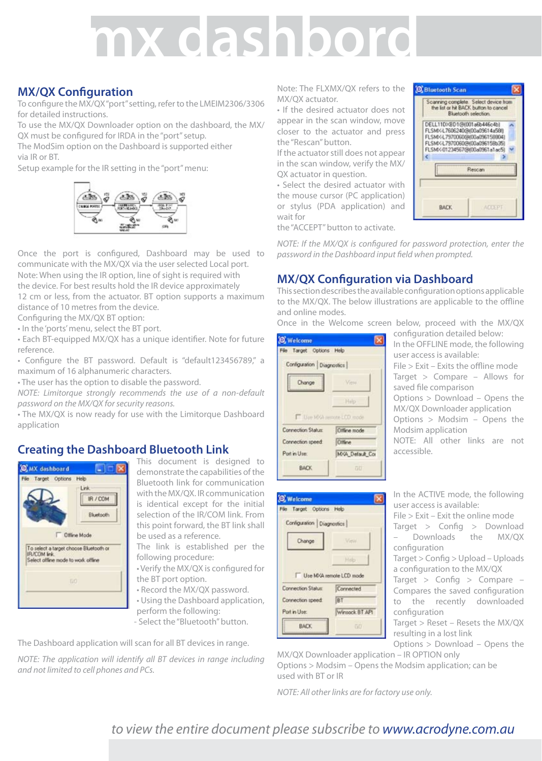# **mx dashbord**

#### **MX/QX Configuration**

To configure the MX/QX "port" setting, refer to the LMEIM2306/3306 for detailed instructions.

To use the MX/QX Downloader option on the dashboard, the MX/ QX must be configured for IRDA in the "port" setup.

The ModSim option on the Dashboard is supported either via IR or BT.

Setup example for the IR setting in the "port" menu:



Once the port is configured, Dashboard may be used to communicate with the MX/QX via the user selected Local port. Note: When using the IR option, line of sight is required with the device. For best results hold the IR device approximately 12 cm or less, from the actuator. BT option supports a maximum distance of 10 metres from the device. Configuring the MX/QX BT option:

• In the 'ports' menu, select the BT port.

• Each BT-equipped MX/QX has a unique identifier. Note for future

reference.

• Configure the BT password. Default is "default123456789," a maximum of 16 alphanumeric characters.

• The user has the option to disable the password.

*NOTE: Limitorque strongly recommends the use of a non-default password on the MX/QX for security reasons.*

• The MX/QX is now ready for use with the Limitorque Dashboard application

#### **Creating the Dashboard Bluetooth Link**



This document is designed to demonstrate the capabilities of the Bluetooth link for communication with the MX/QX. IR communication is identical except for the initial selection of the IR/COM link. From this point forward, the BT link shall be used as a reference.

The link is established per the following procedure:

• Verify the MX/QX is configured for

the BT port option. • Record the MX/QX password.

• Using the Dashboard application, perform the following:

- Select the "Bluetooth" button.

The Dashboard application will scan for all BT devices in range.

*NOTE: The application will identify all BT devices in range including and not limited to cell phones and PCs.*

Note: The FLXMX/QX refers to the MX/QX actuator.

• If the desired actuator does not appear in the scan window, move closer to the actuator and press the "Rescan" button.

If the actuator still does not appear in the scan window, verify the MX/ QX actuator in question.

• Select the desired actuator with the mouse cursor (PC application) or stylus (PDA application) and wait for

the "ACCEPT" button to activate.



*NOTE: If the MX/QX is configured for password protection, enter the password in the Dashboard input field when prompted.*

#### **MX/QX Configuration via Dashboard**

This section describes the available configuration options applicable to the MX/QX. The below illustrations are applicable to the offline and online modes.

Once in the Welcome screen below, proceed with the MX/QX

| O Welcome                 |                             |
|---------------------------|-----------------------------|
| File Target Options Help  |                             |
| Configuration Diagnostics |                             |
| Change                    | View.                       |
|                           | Help                        |
|                           | Library MVA remote LCD mode |
| Connection Status:        | Offine mode                 |
| Connection speed.         | <b>Offine</b>               |
| Port in Use:              | MVA Default Cor             |
| <b>BACK</b>               | ōĐ                          |

configuration detailed below: In the OFFLINE mode, the following user access is available: File > Exit – Exits the offline mode Target > Compare – Allows for saved file comparison Options > Download – Opens the MX/QX Downloader application Options > Modsim – Opens the Modsim application NOTE: All other links are not accessible.

| <b>O</b> Welcome          |                         |
|---------------------------|-------------------------|
| File Target Options Help  |                         |
| Configuration Diagnostics |                         |
| Change                    | View                    |
|                           |                         |
|                           | Heb                     |
|                           | Use MXA remote LCD mode |
| Connection Status:        | Connected               |
| Connection speed:         | BT                      |
| Port in Use:              | Winsock BT APL          |

In the ACTIVE mode, the following user access is available: File > Exit – Exit the online mode Target > Config > Download – Downloads the MX/QX configuration Target > Config > Upload – Uploads a configuration to the MX/QX Target > Config > Compare – Compares the saved configuration to the recently downloaded configuration Target > Reset – Resets the MX/QX

resulting in a lost link Options > Download – Opens the

MX/QX Downloader application – IR OPTION only Options > Modsim – Opens the Modsim application; can be used with BT or IR

*NOTE: All other links are for factory use only.*

#### *to view the entire document please subscribe to www.acrodyne.com.au*